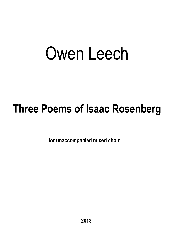# Owen Leech

# **Three Poems of Isaac Rosenberg**

**for unaccompanied mixed choir**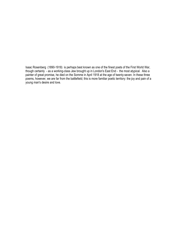Isaac Rosenberg (1890-1918) is perhaps best known as one of the finest poets of the First World War, though certainly - as a working-class Jew brought up in London's East End - the most atypical. Also a painter of great promise, he died on the Somme in April 1918 at the age of twenty-seven. In these three poems, however, we are far from the battlefield; this is more familiar poetic territory: the joy and pain of a young man's desire and love.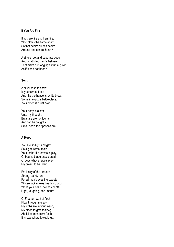#### **If You Are Fire**

If you are fire and I am fire, Who blows the flame apart So that desire eludes desire Around one central heart?

A single root and separate bough, And what blind hands between That make our longing's mutual glow As if it had not been?

#### **Song**

A silver rose to show Is your sweet face; And like the heavens' white brow, Sometime God's battle-place, Your blood is quiet now.

Your body is a star Unto my thought; But stars are not too far, And can be caught - Small pools their prisons are.

#### **A Mood**

You are so light and gay, So slight, sweet maid - Your limbs like leaves in play, Or beams that grasses braid: O! Joys whose jewels pray My breast to be inlaid.

Frail fairy of the streets; Strong, dainty lure; For all men's eyes the sweets Whose lack makes hearts so poor; While your heart loveless beats. Light, laughing, and impure.

O! Fragrant waft of flesh, Float through me so - My limbs are in your mesh, My blood forgets to flow; Ah! Lilied meadows fresh, It knows where it would go.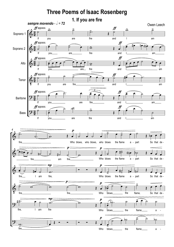## **Three Poems of Isaac Rosenberg**

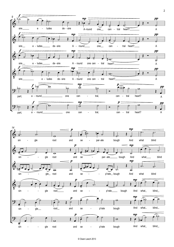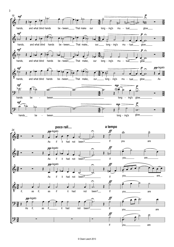



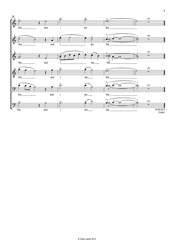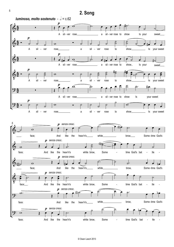### **2. Song**

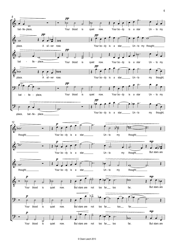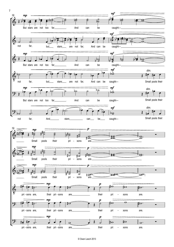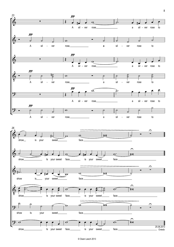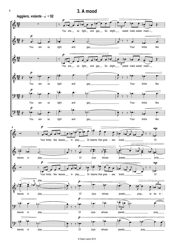

leaves in play. O!

9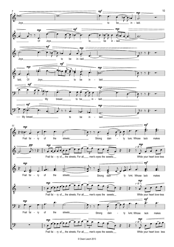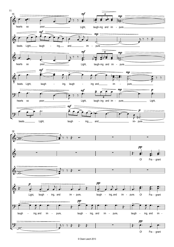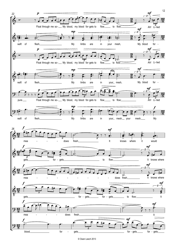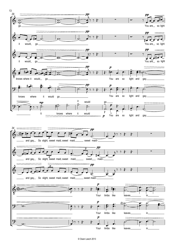